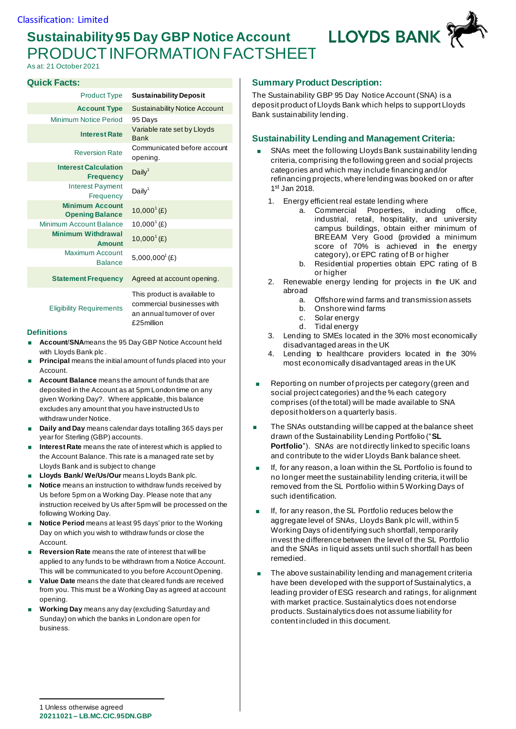# **Sustainability 95 Day GBP Notice Account** PRODUCT INFORMATION FACTSHEET

As at: 21 October 2021

#### **Quick Facts:**

| <b>Product Type</b>                              | <b>Sustainability Deposit</b>              |
|--------------------------------------------------|--------------------------------------------|
| <b>Account Type</b>                              | <b>Sustainability Notice Account</b>       |
| <b>Minimum Notice Period</b>                     | 95 Days                                    |
| <b>Interest Rate</b>                             | Variable rate set by Lloyds<br><b>Bank</b> |
| <b>Reversion Rate</b>                            | Communicated before account<br>opening.    |
| <b>Interest Calculation</b><br><b>Frequency</b>  | Daily <sup>1</sup>                         |
| <b>Interest Payment</b><br>Frequency             | Daily <sup>1</sup>                         |
| <b>Minimum Account</b><br><b>Opening Balance</b> | $10,000^{1}(E)$                            |
| <b>Minimum Account Balance</b>                   | $10,000^1$ (£)                             |
| <b>Minimum Withdrawal</b><br>Amount              | $10,000^1$ (£)                             |
| <b>Maximum Account</b><br><b>Balance</b>         | $5,000,000^{\circ}$ (£)                    |
| <b>Statement Frequency</b>                       | Agreed at account opening.                 |
|                                                  | This product is available to               |

Eligibility Requirements

commercial businesses with an annual turnover of over £25million

#### **Definitions**

- **Account**/**SNA**means the 95 Day GBP Notice Account held with Lloyds Bank plc .
- **Principal** means the initial amount of funds placed into your Account.
- **Account Balance** means the amount of funds that are deposited in the Account as at 5pm London time on any given Working Day?. Where applicable, this balance excludes any amount that you have instructed Us to withdraw under Notice.
- **Daily and Day** means calendar days totalling 365 days per year for Sterling (GBP) accounts.
- **Interest Rate** means the rate of interest which is applied to the Account Balance. This rate is a managed rate set by Lloyds Bank and is subject to change
- **Lloyds Bank/ We/Us/Our** means Lloyds Bank plc.
- **Notice** means an instruction to withdraw funds received by Us before 5pm on a Working Day. Please note that any instruction received by Us after 5pm will be processed on the following Working Day.
- **Notice Period** means at least 95 days' prior to the Working Day on which you wish to withdraw funds or close the Account.
- **Reversion Rate** means the rate of interest that will be applied to any funds to be withdrawn from a Notice Account. This will be communicated to you before Account Opening.
- **Value Date** means the date that cleared funds are received from you. This must be a Working Day as agreed at account opening.
- **Working Day** means any day (excluding Saturday and Sunday) on which the banks in London are open for business.

#### **Summary Product Description:**

The Sustainability GBP 95 Day Notice Account (SNA) is a deposit product of Lloyds Bank which helps to support Lloyds Bank sustainability lending.

**LLOYDS BANK** 

## **Sustainability Lending and Management Criteria:**

- SNAs meet the following Lloyds Bank sustainability lending criteria, comprising the following green and social projects categories and which may include financing and/or refinancing projects, where lending was booked on or after 1 st Jan 2018.
	- 1. Energy efficient real estate lending where
		- a. Commercial Properties, including office, industrial, retail, hospitality, and university campus buildings, obtain either minimum of BREEAM Very Good (provided a minimum score of 70% is achieved in the energy category), or EPC rating of B or higher
		- b. Residential properties obtain EPC rating of B or higher
	- 2. Renewable energy lending for projects in the UK and abroad
		- a. Offshore wind farms and transmission assets
		- b. Onshore wind farms
		- c. Solar energy
		- d. Tidal energy
	- 3. Lending to SMEs located in the 30% most economically disadvantaged areas in the UK
	- 4. Lending to healthcare providers located in the 30% most economically disadvantaged areas in the UK
- Reporting on number of projects per category (green and social project categories) and the % each category comprises (of the total) will be made available to SNA deposit holders on a quarterly basis.
- The SNAs outstanding will be capped at the balance sheet drawn of the Sustainability Lending Portfolio ("**SL Portfolio**"). SNAs are not directly linked to specific loans and contribute to the wider Lloyds Bank balance sheet.
- If, for any reason, a loan within the SL Portfolio is found to no longer meet the sustainability lending criteria, it will be removed from the SL Portfolio within 5 Working Days of such identification.
- If, for any reason, the SL Portfolio reduces below the aggregate level of SNAs, Lloyds Bank plc will, within 5 Working Days of identifying such shortfall, temporarily invest the difference between the level of the SL Portfolio and the SNAs in liquid assets until such shortfall has been remedied.
- The above sustainability lending and management criteria have been developed with the support of Sustainalytics, a leading provider of ESG research and ratings, for alignment with market practice. Sustainalytics does not endorse products. Sustainalytics does not assume liability for content included in this document.

**20211021 – LB.MC.CIC.95DN.GBP** 1 Unless otherwise agreed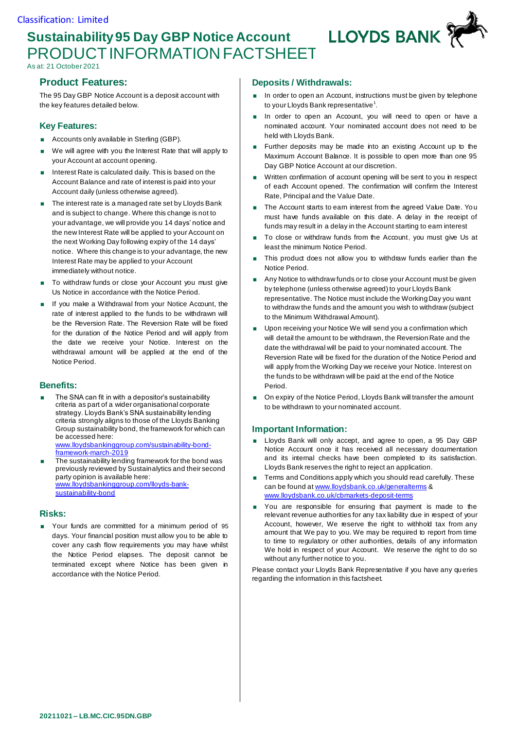# **Sustainability 95 Day GBP Notice Account** PRODUCT INFORMATION FACTSHEET

As at: 21 October 2021

# **Product Features:**

The 95 Day GBP Notice Account is a deposit account with the key features detailed below.

## **Key Features:**

- **Accounts only available in Sterling (GBP).**
- We will agree with you the Interest Rate that will apply to your Account at account opening.
- Interest Rate is calculated daily. This is based on the Account Balance and rate of interest is paid into your Account daily (unless otherwise agreed).
- The interest rate is a managed rate set by Lloyds Bank and is subject to change. Where this change is not to your advantage, we will provide you 14 days' notice and the new Interest Rate will be applied to your Account on the next Working Day following expiry of the 14 days' notice. Where this change is to your advantage, the new Interest Rate may be applied to your Account immediately without notice.
- To withdraw funds or close your Account you must give Us Notice in accordance with the Notice Period.
- If you make a Withdrawal from your Notice Account, the rate of interest applied to the funds to be withdrawn will be the Reversion Rate. The Reversion Rate will be fixed for the duration of the Notice Period and will apply from the date we receive your Notice. Interest on the withdrawal amount will be applied at the end of the Notice Period.

#### **Benefits:**

- The SNA can fit in with a depositor's sustainability criteria as part of a wider organisational corporate strategy. Lloyds Bank's SNA sustainability lending criteria strongly aligns to those of the Lloyds Banking Group sustainability bond, the framework for which can be accessed here: [www.lloydsbankinggroup.com/sustainability-bond](https://eur02.safelinks.protection.outlook.com/?url=http%3A%2F%2Fwww.lloydsbankinggroup.com%2Fsustainability-bond-framework-march-2019&data=04%7C01%7CCharlotte.Hill1%40LloydsBanking.com%7C89636610930840c4d5a808da034b3247%7C3ded2960214a46ff8cf4611f125e2398%7C0%7C0%7C637825918733316055%7CUnknown%7CTWFpbGZsb3d8eyJWIjoiMC4wLjAwMDAiLCJQIjoiV2luMzIiLCJBTiI6Ik1haWwiLCJXVCI6Mn0%3D%7C3000&sdata=Xz06Fsa%2BBvWhzJmhPUbIxD75fXJqx%2BTUW40cwdK6FeE%3D&reserved=0)[framework-march-2019](https://eur02.safelinks.protection.outlook.com/?url=http%3A%2F%2Fwww.lloydsbankinggroup.com%2Fsustainability-bond-framework-march-2019&data=04%7C01%7CCharlotte.Hill1%40LloydsBanking.com%7C89636610930840c4d5a808da034b3247%7C3ded2960214a46ff8cf4611f125e2398%7C0%7C0%7C637825918733316055%7CUnknown%7CTWFpbGZsb3d8eyJWIjoiMC4wLjAwMDAiLCJQIjoiV2luMzIiLCJBTiI6Ik1haWwiLCJXVCI6Mn0%3D%7C3000&sdata=Xz06Fsa%2BBvWhzJmhPUbIxD75fXJqx%2BTUW40cwdK6FeE%3D&reserved=0)
- The sustainability lending framework for the bond was previously reviewed by Sustainalytics and their second party opinion is available here: [www.lloydsbankinggroup.com/lloyds-bank](https://eur02.safelinks.protection.outlook.com/?url=http%3A%2F%2Fwww.lloydsbankinggroup.com%2Flloyds-bank-sustainability-bond&data=04%7C01%7CCharlotte.Hill1%40LloydsBanking.com%7C89636610930840c4d5a808da034b3247%7C3ded2960214a46ff8cf4611f125e2398%7C0%7C0%7C637825918733316055%7CUnknown%7CTWFpbGZsb3d8eyJWIjoiMC4wLjAwMDAiLCJQIjoiV2luMzIiLCJBTiI6Ik1haWwiLCJXVCI6Mn0%3D%7C3000&sdata=zLhbPVNa3wELvERhBXzHSfWxATyxmdKRRnZ7zPXK8fA%3D&reserved=0)[sustainability-bond](https://eur02.safelinks.protection.outlook.com/?url=http%3A%2F%2Fwww.lloydsbankinggroup.com%2Flloyds-bank-sustainability-bond&data=04%7C01%7CCharlotte.Hill1%40LloydsBanking.com%7C89636610930840c4d5a808da034b3247%7C3ded2960214a46ff8cf4611f125e2398%7C0%7C0%7C637825918733316055%7CUnknown%7CTWFpbGZsb3d8eyJWIjoiMC4wLjAwMDAiLCJQIjoiV2luMzIiLCJBTiI6Ik1haWwiLCJXVCI6Mn0%3D%7C3000&sdata=zLhbPVNa3wELvERhBXzHSfWxATyxmdKRRnZ7zPXK8fA%3D&reserved=0)

#### **Risks:**

 Your funds are committed for a minimum period of 95 days. Your financial position must allow you to be able to cover any cash flow requirements you may have whilst the Notice Period elapses. The deposit cannot be terminated except where Notice has been given in accordance with the Notice Period.

## **Deposits / Withdrawals:**

In order to open an Account, instructions must be given by telephone to your Lloyds Bank representative $^{\textrm{\texttt{1}}}.$ 

**LLOYDS BANK** 

- In order to open an Account, you will need to open or have a nominated account. Your nominated account does not need to be held with Lloyds Bank.
- **Further deposits may be made into an existing Account up to the** Maximum Account Balance. It is possible to open more than one 95 Day GBP Notice Account at our discretion.
- Written confirmation of account opening will be sent to you in respect of each Account opened. The confirmation will confirm the Interest Rate, Principal and the Value Date.
- The Account starts to earn interest from the agreed Value Date. You must have funds available on this date. A delay in the receipt of funds may result in a delay in the Account starting to earn interest
- To close or withdraw funds from the Account, you must give Us at least the minimum Notice Period.
- This product does not allow you to withdraw funds earlier than the Notice Period.
- Any Notice to withdraw funds or to close your Account must be given by telephone (unless otherwise agreed) to your Lloyds Bank representative. The Notice must include the Working Day you want to withdraw the funds and the amount you wish to withdraw (subject to the Minimum Withdrawal Amount).
- **Upon receiving your Notice We will send you a confirmation which** will detail the amount to be withdrawn, the Reversion Rate and the date the withdrawal will be paid to your nominated account. The Reversion Rate will be fixed for the duration of the Notice Period and will apply from the Working Day we receive your Notice. Interest on the funds to be withdrawn will be paid at the end of the Notice Period.
- On expiry of the Notice Period, Lloyds Bank will transfer the amount to be withdrawn to your nominated account.

# **Important Information:**

- Lloyds Bank will only accept, and agree to open, a 95 Day GBP Notice Account once it has received all necessary documentation and its internal checks have been completed to its satisfaction. Lloyds Bank reserves the right to reject an application.
- **Terms and Conditions apply which you should read carefully. These** can be found a[t www.lloydsbank.co.uk/generalterms](http://www.lloydsbank.co.uk/generalterms) & [www.lloydsbank.co.uk/cbmarkets-deposit-terms](http://www.lloydsbank.co.uk/cbmarkets-deposit-terms)
- **You are responsible for ensuring that payment is made to the** relevant revenue authorities for any tax liability due in respect of your Account, however, We reserve the right to withhold tax from any amount that We pay to you. We may be required to report from time to time to regulatory or other authorities, details of any information We hold in respect of your Account. We reserve the right to do so without any further notice to you.

Please contact your Lloyds Bank Representative if you have any queries regarding the information in this factsheet.